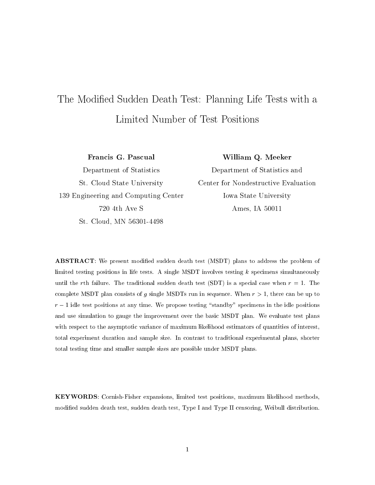# The Modied Sudden Death Test: Planning Life Tests with <sup>a</sup>

Francis G. Pascual

William Q. Meeker

Department of Statistics St. Cloud State University 139 Engineering and Computing Center 720 4th Ave S St. Cloud, MN 56301-4498

Department of Statistics and Center for Nondestructive Evaluation Iowa State University Ames, IA 50011

**ABSTRACT**: We present modified sudden death test (MSDT) plans to address the problem of limited testing positions in life tests. A single MSDT involves testing  $k$  specimens simultaneously until the rth failure. The traditional sudden death test (SDT) is a special case when  $r=1$ . The complete MSDT plan consists of g single MSDTs run in sequence. When  $r > 1$ , there can be up to r is the test positions at any time. We propose testing community specimens in the idea positions in the idea and use simulation to gauge the improvement over the basic MSDT plan. We evaluate test plans with respect to the asymptotic variance of maximum likelihood estimators of quantities of interest, total experiment duration and sample size. In contrast to traditional experimental plans, shorter total testing time and smaller sample sizes are possible under MSDT plans.

KEYWORDS: Cornish-Fisher expansions, limited test positions, maximum likelihood methods, modied sudden death test, sudden death test, Type I and Type II censoring, Weibull distribution.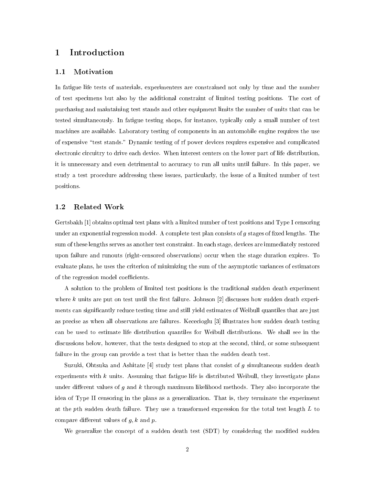## 1 Introduction

## 1.1 Motivation

In fatigue life tests of materials, experimenters are constrained not only by time and the number of test specimens but also by the additional constraint of limited testing positions. The cost of purchasing and maintaining test stands and other equipment limits the number of units that can be tested simultaneously. In fatigue testing shops, for instance, typically only a small number of test machines are available. Laboratory testing of components in an automobile engine requires the use of expensive \test stands." Dynamic testing of rf power devices requires expensive and complicated electronic circuitry to drive each device. When interest centers on the lower part of life distribution, it is unnecessary and even detrimental to accuracy to run all units until failure. In this paper, we study a test procedure addressing these issues, particularly, the issue of a limited number of test positions.

## 1.2 Related Work

Gertsbakh [1] obtains optimal test plans with a limited number of test positions and Type I censoring under an exponential regression model. A complete test plan consists of  $q$  stages of fixed lengths. The sum of these lengths serves as another test constraint. In each stage, devices are immediately restored upon failure and runouts (right-censored observations) occur when the stage duration expires. To evaluate plans, he uses the criterion of minimizing the sum of the asymptotic variances of estimators of the regression model coefficients.

A solution to the problem of limited test positions is the traditional sudden death experiment where  $k$  units are put on test until the first failure. Johnson  $[2]$  discusses how sudden death experiments can signicantly reduce testing time and still yield estimates of Weibull quantiles that are just as precise as when all observations are failures. Kececioglu [3] illustrates how sudden death testing can be used to estimate life distribution quantiles for Weibull distributions. We shall see in the discussions below, however, that the tests designed to stop at the second, third, or some subsequent failure in the group can provide a test that is better than the sudden death test.

Suzuki, Ohtsuka and Ashitate  $[4]$  study test plans that consist of g simultaneous sudden death experiments with  $k$  units. Assuming that fatigue life is distributed Weibull, they investigate plans under different values of  $g$  and  $k$  through maximum likelihood methods. They also incorporate the idea of Type II censoring in the plans as a generalization. That is, they terminate the experiment at the pth sudden death failure. They use a transformed expression for the total test length  $L$  to compare different values of  $q, k$  and  $p$ .

We generalize the concept of a sudden death test (SDT) by considering the modified sudden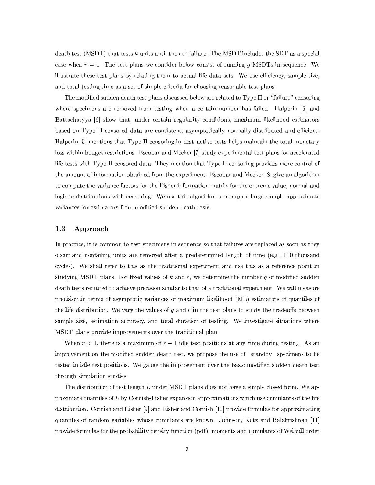death test (MSDT) that tests <sup>k</sup> units until the rth failure. The MSDT includes the SDT as a special case when  $r=1$ . The test plans we consider below consist of running g MSDTs in sequence. We illustrate these test plans by relating them to actual life data sets. We use efficiency, sample size, and total testing time as a set of simple criteria for choosing reasonable test plans.

The modified sudden death test plans discussed below are related to Type II or "failure" censoring where specimens are removed from testing when a certain number has failed. Halperin [5] and Battacharyya [6] show that, under certain regularity conditions, maximum likelihood estimators based on Type II censored data are consistent, asymptotically normally distributed and efficient. Halperin [5] mentions that Type II censoring in destructive tests helps maintain the total monetary loss within budget restrictions. Escobar and Meeker [7] study experimental test plans for accelerated life tests with Type II censored data. They mention that Type II censoring provides more control of the amount of information obtained from the experiment. Escobar and Meeker [8] give an algorithm to compute the variance factors for the Fisher information matrix for the extreme value, normal and logistic distributions with censoring. We use this algorithm to compute large-sample approximate variances for estimators from modied sudden death tests.

## 1.3 Approach

In practice, it is common to test specimens in sequence so that failures are replaced as soon as they occur and nonfailing units are removed after a predetermined length of time (e.g., 100 thousand cycles). We shall refer to this as the traditional experiment and use this as a reference point in studying MSDT plans. For fixed values of k and r, we determine the number  $g$  of modified sudden death tests required to achieve precision similar to that of a traditional experiment. We will measure precision in terms of asymptotic variances of maximum likelihood (ML) estimators of quantiles of the life distribution. We vary the values of g and r in the test plans to study the tradeoffs between sample size, estimation accuracy, and total duration of testing. We investigate situations where MSDT plans provide improvements over the traditional plan.

When  $r > 1$ , there is a maximum of  $r - 1$  idle test positions at any time during testing. As an improvement on the modified sudden death test, we propose the use of "standby" specimens to be tested in idle test positions. We gauge the improvement over the basic modified sudden death test through simulation studies.

The distribution of test length  $L$  under MSDT plans does not have a simple closed form. We approximate quantiles of <sup>L</sup> by Cornish-Fisher expansion approximations which use cumulants of the life distribution. Cornish and Fisher [9] and Fisher and Cornish [10] provide formulas for approximating quantiles of random variables whose cumulants are known. Johnson, Kotz and Balakrishnan [11] provide formulas for the probability density function (pdf ), moments and cumulants of Weibull order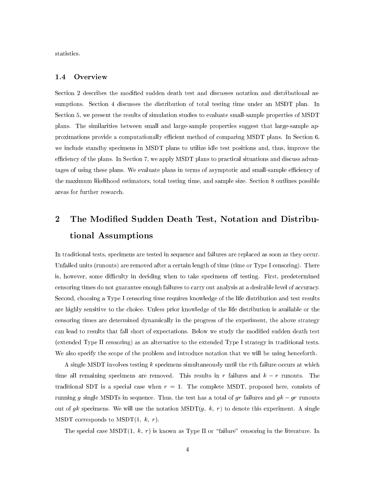statistics.

## 1.4 Overview

Section 2 describes the modified sudden death test and discusses notation and distributional assumptions. Section 4 discusses the distribution of total testing time under an MSDT plan. In Section 5, we present the results of simulation studies to evaluate small-sample properties of MSDT plans. The similarities between small and large-sample properties suggest that large-sample approximations provide a computationally efficient method of comparing MSDT plans. In Section 6, we include standby specimens in MSDT plans to utilize idle test positions and, thus, improve the efficiency of the plans. In Section 7, we apply MSDT plans to practical situations and discuss advantages of using these plans. We evaluate plans in terms of asymptotic and small-sample efficiency of the maximum likelihood estimators, total testing time, and sample size. Section 8 outlines possible areas for further research.

# 2 The Modied Sudden Death Test, Notation and Distributional Assumptions

In traditional tests, specimens are tested in sequence and failures are replaced as soon as they occur. Unfailed units (runouts) are removed after a certain length of time (time or Type I censoring). There is, however, some difficulty in deciding when to take specimens off testing. First, predetermined censoring times do not guarantee enough failures to carry out analysis at a desirable level of accuracy. Second, choosing a Type I censoring time requires knowledge of the life distribution and test results are highly sensitive to the choice. Unless prior knowledge of the life distribution is available or the censoring times are determined dynamically in the progress of the experiment, the above strategy can lead to results that fall short of expectations. Below we study the modied sudden death test (extended Type II censoring) as an alternative to the extended Type I strategy in traditional tests. We also specify the scope of the problem and introduce notation that we will be using henceforth.

A single MSDT involves testing <sup>k</sup> specimens simultaneously until the rth failure occurs at which time all remaining specimens are removed. This results in r failures and  $k - r$  runouts. The traditional SDT is a special case when  $r = 1$ . The complete MSDT, proposed here, consists of running g single MSDTs in sequence. Thus, the test has a total of gr failures and  $g k - gr$  runouts out of gk specimens. We will use the notation  $\text{MSDT}(g, k, r)$  to denote this experiment. A single MSDT corresponds to  $\text{MSDT}(1, k, r)$ .

The special case MSDT $(1, k, r)$  is known as Type II or "failure" censoring in the literature. In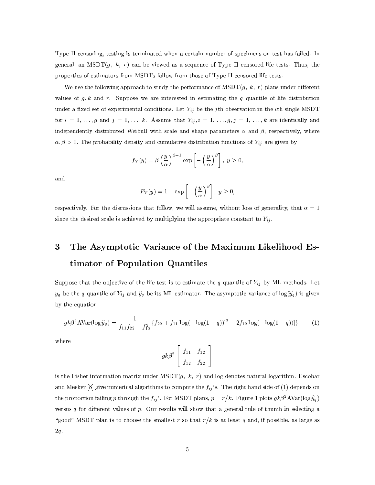Type II censoring, testing is terminated when a certain number of specimens on test has failed. In general, an MSDT $(g, k, r)$  can be viewed as a sequence of Type II censored life tests. Thus, the properties of estimators from MSDTs follow from those of Type II censored life tests.

We use the following approach to study the performance of  $\text{MSDT}(g, k, r)$  plans under different values of  $g, k$  and r. Suppose we are interested in estimating the q quantile of life distribution where a model set of experimental conditions. Let  $\mathcal{L}_{ij}$  be the single matrix in the ith single MSDT  $\equiv$ for  $i = 1, \ldots, g$  and  $j = 1, \ldots, \kappa$ . Assume that  $I_{ij}, i = 1, \ldots, g, j = 1, \ldots, \kappa$  are identically and independently distributed Weibull with scale and shape parameters  $\alpha$  and  $\beta$ , respectively, where  $\alpha, \nu > 0$ . The probability density and cumulative distribution functions of  $T_{ij}$  are given by

$$
f_Y(y) = \beta \left(\frac{y}{\alpha}\right)^{\beta - 1} \exp\left[-\left(\frac{y}{\alpha}\right)^{\beta}\right], y \ge 0,
$$

and

$$
F_Y(y) = 1 - \exp\left[-\left(\frac{y}{\alpha}\right)^{\beta}\right], \ y \ge 0,
$$

respectively. For the discussions that follow, we will assume, without loss of generality, that  $\alpha = 1$ since the desired scale is achieved by multiplying the appropriate presence to multiplying  $\{f\}$  .

# 3 The Asymptotic Variance of the Maximum Likelihood Estimator of Population Quantiles

Suppose that the objective of the life test is to estimate the  $q$  quantile of  $y$  , where  $\ell$  $y_{ij}$  be the q quantile of  $\mathcal{L}_{ij}$  and  $y_{ij}$  be its ML estimator. The asymptotic variance of log(y) is given in by the equation

$$
g k \beta^2 \text{AVar}(\log \hat{y}_q) = \frac{1}{f_{11} f_{22} - f_{12}^2} \{ f_{22} + f_{11} [\log(-\log(1-q))]^2 - 2 f_{12} [\log(-\log(1-q))] \} \tag{1}
$$

where

$$
gk\beta^2\left[\begin{array}{cc} f_{11} & f_{12} \\ f_{12} & f_{22} \end{array}\right]
$$

is the Fisher information matrix under  $\text{MSDT}(g, k, r)$  and log denotes natural logarithm. Escobar and Meeker [8] give numerical algorithms to compute the  $f_{ii}$ 's. The right hand side of (1) depends on the proportion failing p through the  $f_{ij}$ . For MSDT plans,  $p = r/k$ . Figure 1 plots  $g k \beta^2 A \text{Var}(\log \hat{y}_q)$ versus q for different values of p. Our results will show that a general rule of thumb in selecting a "good" MSDT plan is to choose the smallest r so that  $r/k$  is at least q and, if possible, as large as 2q.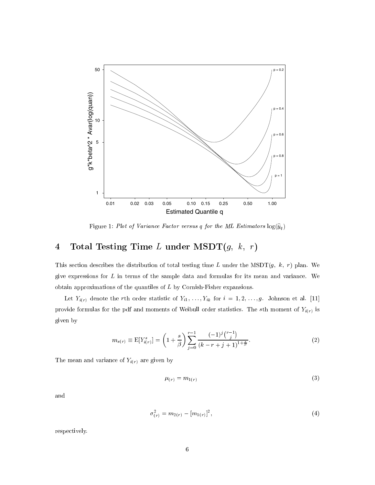

Figure 1: Plot of Variance Factor versus <sup>q</sup> for the ML Estimators log(ybq )

# 4 Total Testing Time  $L$  under  $\mathrm{MSDT}(g,\;k,\;r)$

This section describes the distribution of total testing time L under the MSDT $(g, k, r)$  plan. We give expressions for  $L$  in terms of the sample data and formulas for its mean and variance. We obtain approximations of the quantiles of <sup>L</sup> by Cornish-Fisher expansions.

Let  $Y_{i(r)}$  denote the rth order statistic of  $Y_{i1}, \ldots, Y_{ik}$  for  $i = 1, 2, \ldots, g$ . Johnson et al. [11] provide formulas for the pdf and moments of Weibull order statistics. The sth moment of  $Y_{i(r)}$  is given by

$$
m_{s(r)} \equiv \mathbb{E}[Y_{i(r)}^s] = \left(1 + \frac{s}{\beta}\right) \sum_{j=0}^{r-1} \frac{(-1)^j \binom{r-1}{j}}{(k-r+j+1)^{1+\frac{s}{\beta}}}.
$$
 (2)

The mean and variance of  $Y_{i(r)}$  are given by

$$
\mu_{(r)} = m_{1(r)} \tag{3}
$$

and

$$
\sigma_{(r)}^2 = m_{2(r)} - [m_{1(r)}]^2,\tag{4}
$$

respectively.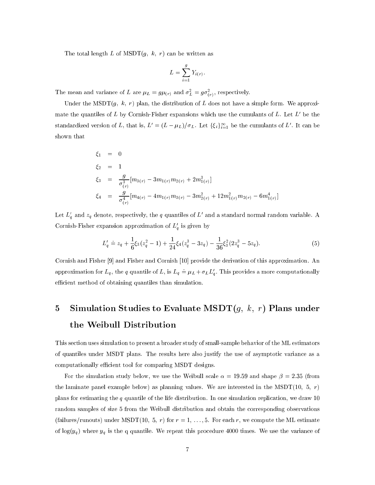The total length L of  $\text{MSDT}(g, k, r)$  can be written as

$$
L = \sum_{i=1}^{g} Y_{i(r)}.
$$

The mean and variance of L are  $\mu_L = g\mu_{(r)}$  and  $\sigma_L = g\sigma_{(r)}$ , respectively.

Under the MSDT $(g, k, r)$  plan, the distribution of L does not have a simple form. We approximate the quantiles of L by Cornish-Fisher expansions which use the cumulants of L. Let  $L'$  be the standardized version of L, that is,  $L\equiv (L-\mu_L)/\sigma_L$ . Let  $\{\zeta_i\}_{i=1}^{\infty}$  be the cumulants of L . It can be shown that

$$
\xi_1 = 0
$$
  
\n
$$
\xi_2 = 1
$$
  
\n
$$
\xi_3 = \frac{g}{\sigma_{(r)}^3} [m_{3(r)} - 3m_{1(r)}m_{2(r)} + 2m_{1(r)}^3]
$$
  
\n
$$
\xi_4 = \frac{g}{\sigma_{(r)}^4} [m_{4(r)} - 4m_{1(r)}m_{3(r)} - 3m_{2(r)}^2 + 12m_{1(r)}^2m_{2(r)} - 6m_{1(r)}^4]
$$

Let  $L_q$  and  $z_q$  denote, respectively, the  $q$  quantiles of  $L$  and a standard normal random variable. A Cornish-Fisher expansion approximation of  $L_q$  is given by

$$
L'_q \doteq z_q + \frac{1}{6} \xi_3 (z_q^2 - 1) + \frac{1}{24} \xi_4 (z_q^3 - 3z_q) - \frac{1}{36} \xi_3^2 (2z_q^3 - 5z_q). \tag{5}
$$

Cornish and Fisher [9] and Fisher and Cornish [10] provide the derivation of this approximation. An approximation for  $L_q$ , the q quantile of L, is  $L_q = \mu_L + \sigma_L L'_q$ . This provides a more computationally efficient method of obtaining quantiles than simulation.

# 5 Simulation Studies to Evaluate MSDT $(g, k, r)$  Plans under the Weibull Distribution

This section uses simulation to present a broader study of small-sample behavior of the ML estimators of quantiles under MSDT plans. The results here also justify the use of asymptotic variance as a computationally efficient tool for comparing MSDT designs.

For the simulation study below, we use the Weibull scale  $\alpha = 19.59$  and shape  $\beta = 2.35$  (from the laminate panel example below) as planning values. We are interested in the MSDT(10, 5,  $r$ ) plans for estimating the q quantile of the life distribution. In one simulation replication, we draw 10 random samples of size 5 from the Weibull distribution and obtain the corresponding observations (failures/runouts) under MSDT(10, 5, r) for  $r = 1, \ldots, 5$ . For each r, we compute the ML estimate of log(yq ) where yq is the q quantile. We repeat this procedure 4000 times. We use the variance of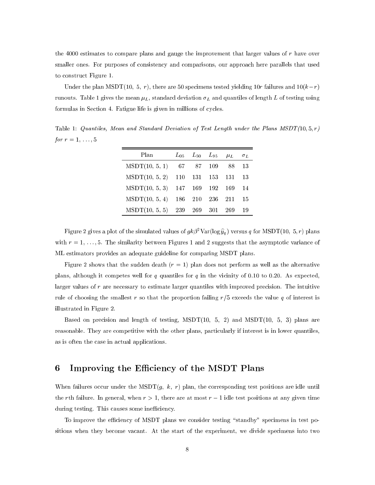the 4000 estimates to compare plans and gauge the improvement that larger values of  $r$  have over smaller ones. For purposes of consistency and comparisons, our approach here parallels that used to construct Figure 1.

Under the plan MSDT(10, 5, r), there are 50 specimens tested yielding 10r failures and  $10(k-r)$ runouts. Table 1 gives the mean L, standard deviation L and quantiles of length <sup>L</sup> of testing using formulas in Section 4. Fatigue life is given in millions of cycles.

Table 1: Quantiles, Mean and Standard Deviation of Test Length under the Plans  $MSDT(10, 5, r)$ for  $r = 1, \ldots, 5$ 

| Plan                              | $L_{05}$ $L_{50}$ $L_{95}$ $\mu_L$ $\sigma_L$ |     |      |
|-----------------------------------|-----------------------------------------------|-----|------|
| $MSDT(10, 5, 1)$ 67 87 109 88 13  |                                               |     |      |
| MSDT(10, 5, 2) 110 131 153 131 13 |                                               |     |      |
| MSDT(10, 5, 3) 147 169 192 169 14 |                                               |     |      |
| MSDT(10, 5, 4) 186 210 236 211    |                                               |     | - 15 |
| $MSDT(10, 5, 5)$ 239 269 301      |                                               | 269 | -19  |

Figure 2 gives a plot of the simulated values of  $g\kappa\rho$  var(log  $y_a$ ) versus q for MSDT(10; 5, r) plans with  $r = 1, \ldots, 5$ . The similarity between Figures 1 and 2 suggests that the asymptotic variance of ML estimators provides an adequate guideline for comparing MSDT plans.

Figure 2 shows that the sudden death  $(r = 1)$  plan does not perform as well as the alternative plans, although it competes well for  $q$  quantiles for  $q$  in the vicinity of 0.10 to 0.20. As expected, larger values of  $r$  are necessary to estimate larger quantiles with improved precision. The intuitive rule of choosing the smallest r so that the proportion failing  $r/5$  exceeds the value q of interest is illustrated in Figure 2.

Based on precision and length of testing,  $MSDT(10, 5, 2)$  and  $MSDT(10, 5, 3)$  plans are reasonable. They are competitive with the other plans, particularly if interest is in lower quantiles, as is often the case in actual applications.

## 6 Improving the Efficiency of the MSDT Plans

When failures occur under the MSDT $(g, k, r)$  plan, the corresponding test positions are idle until the rth failure. In general, when  $r>1$ , there are at most  $r-1$  idle test positions at any given time during testing. This causes some inefficiency.

To improve the efficiency of MSDT plans we consider testing "standby" specimens in test positions when they become vacant. At the start of the experiment, we divide specimens into two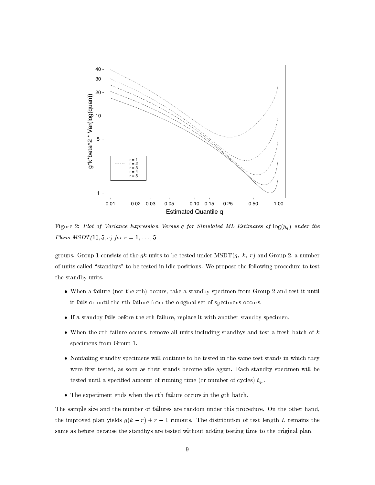

Figure 2: Plot of Variance Expression Versus <sup>q</sup> for Simulated ML Estimates of log(yq ) under the *Plans MSDT*(10, 5, *r*) for  $r = 1, ..., 5$ 

groups. Group 1 consists of the  $g_k$  units to be tested under MSDT $(g, k, r)$  and Group 2, a number of units called "standbys" to be tested in idle positions. We propose the following procedure to test the standby units.

- When a failure (not the rth) occurs, take a standby specimen from Group 2 and test it until it fails or until the rth failure from the original set of specimens occurs.
- If a standby fails before the rth failure, replace it with another standby specimen.
- When the rth failure occurs, remove all units including standbys and test a fresh batch of  $k$ specimens from Group 1.
- Nonfailing standby specimens will continue to be tested in the same test stands in which they were first tested, as soon as their stands become idle again. Each standby specimen will be tested until a specified amount of running time (or number of cycles)  $t_{q_c}$ .
- The experiment ends when the rth failure occurs in the gth batch.

The sample size and the number of failures are random under this procedure. On the other hand, the improved plan yields  $g(k - r) + r - 1$  runouts. The distribution of test length L remains the same as before because the standbys are tested without adding testing time to the original plan.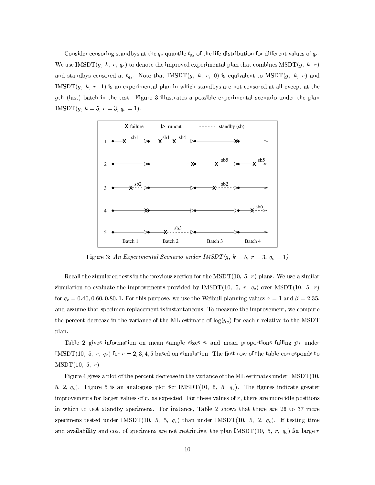Constants censoring standard  $\mu$  at the  $q_{c}$  quantizers  $q_{c}$  of the life distribution for distribution for  $q_{c}$  . We use IMSDT $(g, k, r, q_c)$  to denote the improved experimental plan that combines MSDT $(g, k, r)$ and standbys censored at  $t_{q_c}$ . Note that IMSDT $(g, k, r, 0)$  is equivalent to MSDT $(g, k, r)$  and IMSDT $(g, k, r, 1)$  is an experimental plan in which standbys are not censored at all except at the gth (last) batch in the test. Figure 3 illustrates a possible experimental scenario under the plan IMSDT(g) r = 3, r = 3, qu = 1.



 $\mathbf{F}$  is the experimental Scenario under Integral  $\mathbf{F}(g)$ ,  $\mathbf{v} = \mathbf{S}(g)$ 

Recall the simulated tests in the previous section for the MSDT(10, 5,  $r$ ) plans. We use a similar simulation to evaluate the improvements provided by IMSDT(10, 5,  $r$ ,  $q_c$ ) over MSDT(10, 5,  $r$ ) for qc = 0:40; <sup>0</sup>:60; 0:80; 1. For this purpose, we use the Weibull planning values = 1 and  = 2:35, and assume that specimen replacement is instantaneous. To measure the improvement, we compute the percent decrease in the variance of the ML estimate of log(yq ) for each rrelative to the MSDT plan.

Table 2 gives information on mean sample sizes n and mean proportions failing pf under IMSDT(10, 5, r,  $q_c$ ) for  $r = 2, 3, 4, 5$  based on simulation. The first row of the table corresponds to  $MSDT(10, 5, r)$ .

Figure 4 gives a plot of the percent decrease in the variance of the ML estimates under IMSDT(10, 5, 2,  $q_c$ ). Figure 5 is an analogous plot for IMSDT(10, 5, 5,  $q_c$ ). The figures indicate greater improvements for larger values of  $r$ , as expected. For these values of  $r$ , there are more idle positions in which to test standby specimens. For instance, Table 2 shows that there are 26 to 37 more specimens tested under IMSDT(10, 5, 5,  $q_c$ ) than under IMSDT(10, 5, 2,  $q_c$ ). If testing time and availability and cost of specimens are not restrictive, the plan IMSDT(10, 5, r,  $q_c$ ) for large r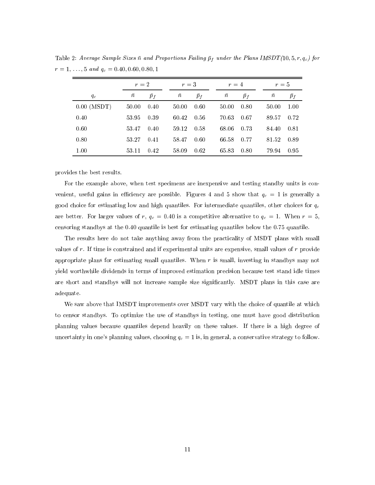|               |           | $r=2$ |           | $r=3$       |       |           | $r=4$       |  |           | $r=5$ |  |  |
|---------------|-----------|-------|-----------|-------------|-------|-----------|-------------|--|-----------|-------|--|--|
| $q_c$         | $\bar{n}$ | $p_f$ | $\bar{n}$ | $\bar{p}_f$ |       | $\bar{n}$ | $\bar{p}_f$ |  | $\bar{n}$ | $p_f$ |  |  |
| $0.00$ (MSDT) | 50.00     | 0.40  | 50.00     | 0.60        |       | 50.00     | 0.80        |  | 50.00     | 1.00  |  |  |
| 0.40          | 53.95     | 0.39  | 60.42     | 0.56        |       | 70.63     | -0.67       |  | 89.57     | 0.72  |  |  |
| 0.60          | 53.47     | 0.40  | 59.12     | 0.58        |       | 68.06     | 0.73        |  | 84.40     | 0.81  |  |  |
| 0.80          | 53.27     | 0.41  | 58.47     | 0.60        | 66.58 |           | 0.77        |  | 81.52     | 0.89  |  |  |
| 1.00          | 53.11     | 0.42  | 58.09     | 0.62        | 65.83 |           | 0.80        |  | 79.94     | 0.95  |  |  |

Lable 2. Average Sample Sizes n and Proportions Failing  $p_f$  ander the Plans IMSD  $T(10, 5, 7, q_c)$  for  $r = 1, \ldots, 9$  and  $q_c = 0.40, 0.00, 0.80, 1$ 

provides the best results.

For the example above, when test specimens are inexpensive and testing standby units is con venient, useful gains in emerging are possible. Figures 1 and 5 show that  $q_c = 1$  is generally a good choice for estimating low and high quantiles. For intermediate quantiles, other choices for  $q_c$ are better. For larger variable of r, qc = 0:40 is a competitive alternative to qc = 1. When r= 5, S, S, S, S, censoring standbys at the 0:40 quantile is best for estimating quantiles below the 0.75 quantile.

The results here do not take anything away from the practicality of MSDT plans with small values of  $r$ . If time is constrained and if experimental units are expensive, small values of  $r$  provide appropriate plans for estimating small quantiles. When  $r$  is small, investing in standbys may not yield worthwhile dividends in terms of improved estimation precision because test stand idle times are short and standbys will not increase sample size signicantly. MSDT plans in this case are adequate.

We saw above that IMSDT improvements over MSDT vary with the choice of quantile at which to censor standbys. To optimize the use of standbys in testing, one must have good distribution planning values because quantiles depend heavily on these values. If there is a high degree of uncertainty in one's planning values, choosing  $q_c = 1$  is, in general, a conservative strategy to follow.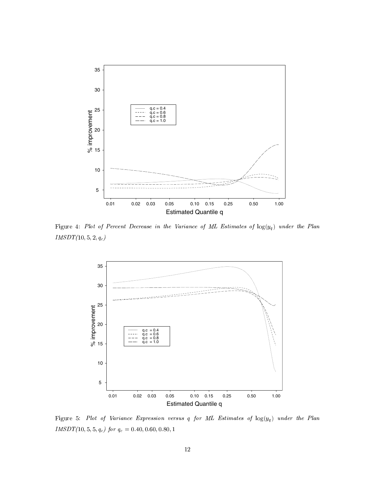

Figure 4:Plot of Percent Decrease in the Variance of ML Estimates of log(yq ) under the Plan  $IMSDT(10, 5, 2, q_c)$ 



Figure 5: Plot of Variance Expression versus <sup>q</sup> for ML Estimates of log(yq ) under the Plan  $I_{I}$ M $D$  $I$  (10, 0, 0,  $q_c$ ) for  $q_c = 0.40, 0.00, 0.80, 1$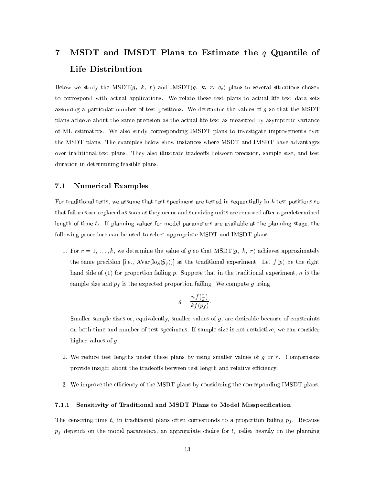# 7 MSDT and IMSDT Plans to Estimate the  $q$  Quantile of Life Distribution

Below we study the MSDT $(g, k, r)$  and IMSDT $(g, k, r, q_c)$  plans in several situations chosen to correspond with actual applications. We relate these test plans to actual life test data sets assuming a particular number of test positions. We determine the values of  $g$  so that the MSDT plans achieve about the same precision as the actual life test as measured by asymptotic variance of ML estimators. We also study corresponding IMSDT plans to investigate improvements over the MSDT plans. The examples below show instances where MSDT and IMSDT have advantages over traditional test plans. They also illustrate tradeoffs between precision, sample size, and test duration in determining feasible plans.

## 7.1 Numerical Examples

For traditional tests, we assume that test specimens are tested in sequentially in  $k$  test positions so that failures are replaced as soon as they occur and surviving units are removed after a predetermined length of time  $t_c$ . If planning values for model parameters are available at the planning stage, the following procedure can be used to select appropriate MSDT and IMSDT plans.

1. For  $r = 1, \ldots, k$ , we determine the value of g so that  $\text{MSDT}(g, k, r)$  achieves approximately  $\frac{1}{2}$  for same precision  $\frac{1}{2}$  i.e.,  $\frac{1}{2}$  and  $\frac{1}{2}$  as the traditional experiment. Let  $\frac{1}{2}$  (p) be the right hand side of  $(1)$  for proportion failing p. Suppose that in the traditional experiment, n is the sample size and pf is the expected proportion failure  $\alpha$  we compute  $g$  using  $g$  using  $\alpha$ 

$$
g = \frac{nf(\frac{r}{k})}{kf(p_f)}.
$$

Smaller sample sizes or, equivalently, smaller values of  $g$ , are desirable because of constraints on both time and number of test specimens. If sample size is not restrictive, we can consider higher values of g.

- 2. We reduce test lengths under these plans by using smaller values of  $g$  or  $r$ . Comparisons provide insight about the tradeoffs between test length and relative efficiency.
- 3. We improve the efficiency of the MSDT plans by considering the corresponding IMSDT plans.

#### 7.1.1 Sensitivity of Traditional and MSDT Plans to Model Misspecication

The censoring time tc in traditional plans often corresponds to <sup>a</sup> proportion failing pf .Because pf depends on the model parameters, an appropriate choice for tc relies heavily on the planning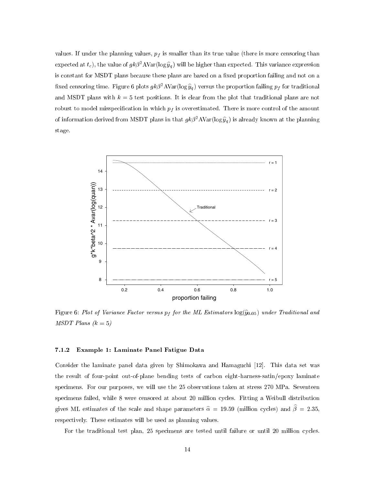values. If we are the planning values, pf is smaller than its true value (there is more central than  $\alpha$ expected at  $\iota_c$ ), the value of  $g\kappa\rho$ -AVar(log  $y_q$ ) will be higher than expected. This variance expression is constant for MSDT plans because these plans are based on a fixed proportion failing and not on a fixed censoring time. Figure 6 plots  $g\kappa\rho$ -AVar(log  $y_q$  ) versus the proportion failing  $p_f$  for traditional and MSDT plans with  $k = 5$  test positions. It is clear from the plot that traditional plans are not robust to model missing position in the which pf is overestimated. There is more is more control of the amount of information derived from MSDT plans in that  $g\kappa\rho$ -AVar(log  $y_g$  ) is already known at the planning stage.



Figure 6: Plot of Variance Factor versus pf for the ML Estimators log(yb0:05) under Traditional and  $MSDT$  Plans  $(k = 5)$ 

#### 7.1.2 Example 1: Laminate Panel Fatigue Data

Consider the laminate panel data given by Shimokawa and Hamaguchi [12]. This data set was the result of four-point out-of-plane bending tests of carbon eight-harness-satin/epoxy laminate specimens. For our purposes, we will use the 25 observations taken at stress 270 MPa. Seventeen specimens failed, while 8 were censored at about 20 million cycles. Fitting a Weibull distribution gives ML estimates of the scale and shape parameters  $\hat{\alpha} = 19.59$  (million cycles) and  $\hat{\beta} = 2.35$ , respectively. These estimates will be used as planning values.

For the traditional test plan, 25 specimens are tested until failure or until 20 million cycles.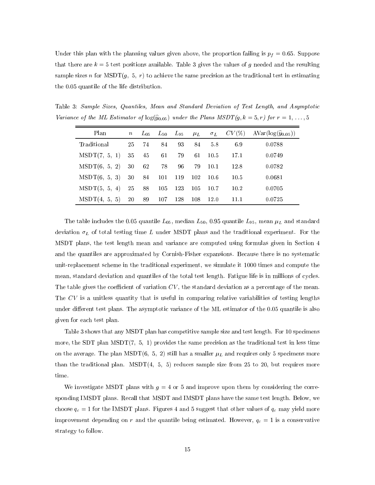Under the planning values above, the planning values given above, the proportion failing is proportionally in supportion is proportion for the proportion of the proportion of the proportion failing is proportionally in the that there are  $k = 5$  test positions available. Table 3 gives the values of g needed and the resulting sample sizes n for  $\text{MSDT}(g, 5, r)$  to achieve the same precision as the traditional test in estimating the 0.05 quantile of the life distribution.

Table 3: Sample Sizes, Quantiles, Mean and Standard Deviation of Test Length, and Asymptotic Variance of the ML Estimator of  $\log(\hat{y}_{0.05})$  under the Plans MSDT $(g, k = 5, r)$  for  $r = 1, \ldots, 5$ 

| Plan                                      | $n_{-}$ | $L_{05}$ |    |            |        |                 | $L_{50}$ $L_{95}$ $\mu$ $\sigma$ <sub>L</sub> $CV(\%)$ $AVar(log(\hat{y}_{0.05}))$ |
|-------------------------------------------|---------|----------|----|------------|--------|-----------------|------------------------------------------------------------------------------------|
| Traditional                               |         | 25 74    | 84 | 93 84 5.8  |        | 6.9             | 0.0788                                                                             |
| $MSDT(7, 5, 1)$ 35 45                     |         |          | 61 |            |        | 79 61 10.5 17.1 | 0.0749                                                                             |
| $MSDT(6, 5, 2)$ 30 62                     |         |          | 78 | 96 79 10.1 |        | -12.8           | 0.0782                                                                             |
| MSDT(6, 5, 3) 30 84 101 119 102 10.6      |         |          |    |            |        | 10.5            | 0.0681                                                                             |
| MSDT(5, 5, 4) 25 88 105 123 105 10.7 10.2 |         |          |    |            |        |                 | 0.0705                                                                             |
| $MSDT(4, 5, 5)$ 20 89 107 128 108         |         |          |    |            | - 12.0 | 11.1            | 0.0725                                                                             |

The table includes the 0.05 quantile  $L_{05}$ , median  $L_{50}$ , 0.95 quantile  $L_{95}$ , mean  $\mu$  and standard deviation L of total testing time L under MSDT plans and the traditional experiment. For the the the  $\sim$ MSDT plans, the test length mean and variance are computed using formulas given in Section 4 and the quantiles are approximated by Cornish-Fisher expansions. Because there is no systematic unit-replacement scheme in the traditional experiment, we simulate it 1000 times and compute the mean, standard deviation and quantiles of the total test length. Fatigue life is in millions of cycles. The table gives the coefficient of variation  $CV$ , the standard deviation as a percentage of the mean. The  $CV$  is a unitless quantity that is useful in comparing relative variabilities of testing lengths under different test plans. The asymptotic variance of the ML estimator of the 0.05 quantile is also given for each test plan.

Table 3 shows that any MSDT plan has competitive sample size and test length. For 10 specimens more, the SDT plan MSDT $(7, 5, 1)$  provides the same precision as the traditional test in less time on the average. The plane MSDT(6; 5; 2) still has a smaller L  $\mu$   $\mu$  and requires only 5 specimens more more. than the traditional plan.  $MSDT(4, 5, 5)$  reduces sample size from 25 to 20, but requires more time.

We investigate MSDT plans with  $g = 4$  or 5 and improve upon them by considering the corresponding IMSDT plans. Recall that MSDT and IMSDT plans have the same test length. Below, we choose qc = 1 for the IMSDT plans. Figures 4 and 5 suggest that other values of qc may yield more  $\ldots$  improvement depending on random the quantile being estimated. However,  $\eta_{\rm c}$  = 1 is a conservative strategy to follow.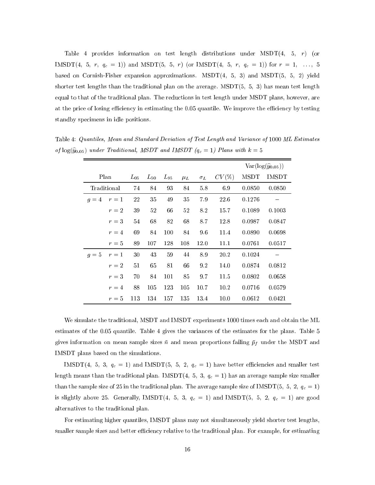Table 4 provides information on test length distributions under  $\text{MSDT}(4, 5, r)$  (or IMSDT(4; 5; r; qc <sup>=</sup> 1)) and MSDT(5; 5; r) (or IMSDT(4; 5; r; qc <sup>=</sup> 1)) for <sup>r</sup> <sup>=</sup> 1; :::;5 based on Cornish-Fisher expansion approximations.  $MSDT(4, 5, 3)$  and  $MSDT(5, 5, 2)$  yield shorter test lengths than the traditional plan on the average. MSDT $(5, 5, 3)$  has mean test length equal to that of the traditional plan. The reductions in test length under MSDT plans, however, are at the price of losing efficiency in estimating the 0.05 quantile. We improve the efficiency by testing standby specimens in idle positions.

|       |             |          |                |          |         |            |       |             | $Var(log(\hat{y}_{0.05}))$ |
|-------|-------------|----------|----------------|----------|---------|------------|-------|-------------|----------------------------|
|       | Plan        | $L_{05}$ | $L_{\rm \,50}$ | $L_{95}$ | $\mu_L$ | $\sigma_L$ | CV(%) | <b>MSDT</b> | <b>IMSDT</b>               |
|       | Traditional | 74       | 84             | 93       | 84      | 5.8        | 6.9   | 0.0850      | 0.0850                     |
| $g=4$ | $r=1$       | 22       | 35             | 49       | 35      | 7.9        | 22.6  | 0.1276      |                            |
|       | $r=2$       | 39       | 52             | 66       | 52      | 8.2        | 15.7  | 0.1089      | 0.1003                     |
|       | $r=3$       | 54       | 68             | 82       | 68      | 8.7        | 12.8  | 0.0987      | 0.0847                     |
|       | $r=4$       | 69       | 84             | 100      | 84      | 96         | 11.4  | 0.0890      | 0.0698                     |
|       | $r=5$       | 89       | 107            | 128      | 108     | 12.0       | 11.1  | 0.0761      | 0.0517                     |
| $g=5$ | $r=1$       | 30       | 43             | 59       | 44      | 8.9        | 20.2  | 0.1024      |                            |
|       | $r=2$       | 51       | 65             | 81       | 66      | 9.2        | 14.0  | 0.0874      | 0.0812                     |
|       | $r=3$       | 70       | 84             | 101      | 85      | 97         | 11.5  | 0.0802      | 0.0658                     |
|       | $r=4$       | 88       | 105            | 123      | 105     | 10.7       | 10.2  | 0.0716      | 0.0579                     |
|       | $r=5$       | 113      | 134            | 157      | 135     | 13.4       | 10.0  | 0.0612      | 0.0421                     |

Table 4: Quantiles, Mean and Standard Deviation of Test Length and Variance of 1000 ML Estimates of  $\log(\hat{y}_{0.05})$  under Traditional, MSDT and IMSDT ( $q_c = 1$ ) Plans with  $k = 5$ 

We simulate the traditional, MSDT and IMSDT experiments 1000 times each and obtain the ML estimates of the 0:05 quantile. Table 4 gives the variances of the estimates for the plans. Table 5 gives into information on means sample sizes in and mean proportions failing  $\mu$  U under the MSDT and MSDT and IMSDT plans based on the simulations.

IMSDT(5; 5; 3; 3) and IMSDT(5; 3; 3; 1) and  $\alpha$  is the smaller test economic existence and smaller test  $\alpha$ length means than the traditional plane. In the  $\pm$  1, 4; 3; 3;  $\pm$  1,  $\pm$  1,  $\pm$  1,  $\pm$  1,  $\pm$  1,  $\pm$  1,  $\pm$ than the sample size of 25 in the traditional plan. The average sample size of IMSDT(5;  $\sigma_1 = \sigma_1$ ) is slightly above 25. Generally, IMSDT(4; 5; 3;  $q_0$  = 1) and IMSDT(5; 5; 2; 1)  $q_0$  = 1) are good alternatives to the traditional plan.

For estimating higher quantiles, IMSDT plans may not simultaneously yield shorter test lengths, smaller sample sizes and better efficiency relative to the traditional plan. For example, for estimating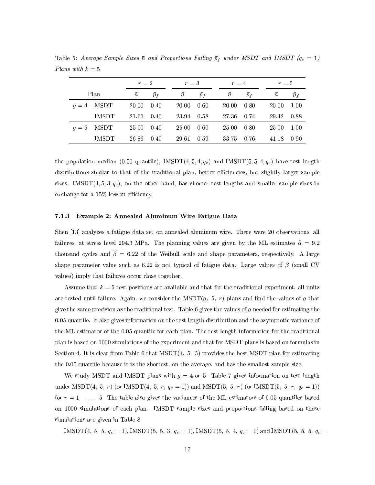|       |              |           | $r=2$ |  | $r=3$     |       |  | $r=4$     |       |  | $r=5$     |             |  |
|-------|--------------|-----------|-------|--|-----------|-------|--|-----------|-------|--|-----------|-------------|--|
|       | Plan         | $\bar{n}$ | $p_f$ |  | $\bar{n}$ | $p_f$ |  | $\bar{n}$ | $p_f$ |  | $\bar{n}$ | $\bar{p}_f$ |  |
| $q=4$ | MSDT         | 20.00     | 0.40  |  | 20.00     | 0.60  |  | 20.00     | 0.80  |  | 20.00     | 1.00        |  |
|       | <b>IMSDT</b> | 21.61     | 0.40  |  | 23.94     | 0.58  |  | 27.36     | 0.74  |  | 29.42     | 0.88        |  |
| $q=5$ | MSDT         | 25.00     | 0.40  |  | 25.00     | 0.60  |  | 25.00     | 0.80  |  | 25.00     | 1.00        |  |
|       | <b>IMSDT</b> | 26.86     | 0.40  |  | 29.61     | 0.59  |  | 33.75     | 0.76  |  | 41.18     | 0.90        |  |

Table 5: Average Sample Sizes n and Proportions Failing pf under MSDT and IMSDT (qc <sup>=</sup> 1) Plans with  $k = 5$ 

the population median (0.50 quantile),  $IMSDT(4, 5, 4, q_c)$  and  $IMSDT(5, 5, 4, q_c)$  have test length distributions similar to that of the traditional plan, better efficiencies, but slightly larger sample sizes. IMSDT $(4, 5, 3, q_c)$ , on the other hand, has shorter test lengths and smaller sample sizes in exchange for a  $15\%$  loss in efficiency.

#### 7.1.3 Example 2: Annealed Aluminum Wire Fatigue Data

Shen [13] analyzes a fatigue data set on annealed aluminum wire. There were 20 observations, all failures, at stress level 294.3 MPa. The planning values are given by the ML estimates  $\hat{\alpha} = 9.2$ thousand cycles and  $\widehat{\beta} = 6.22$  of the Weibull scale and shape parameters, respectively. A large shape parameter value such as 6.22 is not typical of fatigue data. Large values of  $\beta$  (small CV values) imply that failures occur close together.

Assume that  $k = 5$  test positions are available and that for the traditional experiment, all units are tested until failure. Again, we consider the MSDT $(g, 5, r)$  plans and find the values of g that give the same precision as the traditional test. Table 6 gives the values of  $g$  needed for estimating the 0.05 quantile. It also gives information on the test length distribution and the asymptotic variance of the ML estimator of the 0:05 quantile for each plan. The test length information for the traditional plan is based on 1000 simulations of the experiment and that for MSDT plans is based on formulas in Section 4. It is clear from Table 6 that  $MSDT(4, 5, 5)$  provides the best MSDT plan for estimating the 0.05 quantile because it is the shortest, on the average, and has the smallest sample size.

We study MSDT and IMSDT plans with  $g = 4$  or 5. Table 7 gives information on test length under MSDT(4; s) (  $\alpha$  is interference of  $\alpha$ ; r; qc = 1)) and MSDT(5; s) (or IMSDT(5; 5; 7; r; qc = 1)) for  $r = 1, \ldots, 5$ . The table also gives the variances of the ML estimators of 0.05 quantiles based on 1000 simulations of each plan. IMSDT sample sizes and proportions failing based on these simulations are given in Table 8.

INISD I  $(4, 0, 0, q_c = 1)$ , INISD I  $(0, 0, 0, q_c = 1)$ , INISD I  $(0, 0, 4, q_c = 1)$  and INISD I  $(0, 0, 0, q_c = 1)$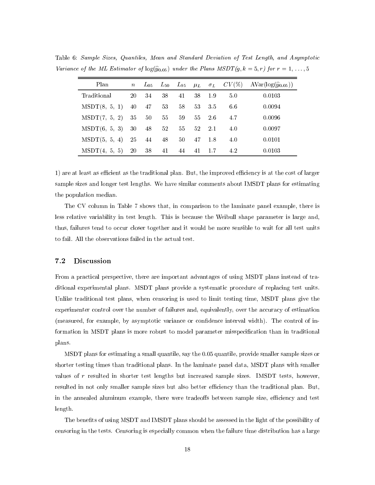| Plan               | $\, n$ |       |       |    |           |        |     | $L_{05}$ $L_{50}$ $L_{95}$ $\mu$ $\sigma$ $CV(\%)$ $AVar(log(\hat{y}_{0.05}))$ |
|--------------------|--------|-------|-------|----|-----------|--------|-----|--------------------------------------------------------------------------------|
| Traditional        | 20     | -34   | 38    | 41 |           | 38 1.9 | 5.0 | 0.0103                                                                         |
| MSDT(8, 5, 1)      |        | 40 47 | 53    |    | 58 53 3.5 |        | 66  | 0.0094                                                                         |
| MSDT(7, 5, 2)      | 35     | 50    | 55    | 59 | 55 2.6    |        | 4.7 | 0.0096                                                                         |
| $MSDT(6, 5, 3)$ 30 |        |       | 48 52 |    | 55 52 2.1 |        | 4.0 | 0.0097                                                                         |
| MSDT(5, 5, 4)      |        | 25 44 | 48    |    | 50 47 1.8 |        | 4.0 | 0.0101                                                                         |
| MSDT(4, 5, 5)      | 20     | 38    | 41    | 44 | 41 1.7    |        | 4.2 | 0.0103                                                                         |

Table 6: Sample Sizes, Quantiles, Mean and Standard Deviation of Test Length, and Asymptotic Variance of the ML Estimator of  $log(\hat{y}_{0.05})$  under the Plans MSDT $(g, k = 5, r)$  for  $r = 1, ..., 5$ 

1) are at least as efficient as the traditional plan. But, the improved efficiency is at the cost of larger sample sizes and longer test lengths. We have similar comments about IMSDT plans for estimating the population median.

The CV column in Table 7 shows that, in comparison to the laminate panel example, there is less relative variability in test length. This is because the Weibull shape parameter is large and, thus, failures tend to occur closer together and it would be more sensible to wait for all test units to fail. All the observations failed in the actual test.

#### $7.2$ **Discussion**

From a practical perspective, there are important advantages of using MSDT plans instead of traditional experimental plans. MSDT plans provide a systematic procedure of replacing test units. Unlike traditional test plans, when censoring is used to limit testing time, MSDT plans give the experimenter control over the number of failures and, equivalently, over the accuracy of estimation (measured, for example, by asymptotic variance or condence interval width). The control of information in MSDT plans is more robust to model parameter misspecication than in traditional plans.

MSDT plans for estimating a small quantile, say the 0:05 quantile, provide smaller sample sizes or shorter testing times than traditional plans. In the laminate panel data, MSDT plans with smaller values of <sup>r</sup> resulted in shorter test lengths but increased sample sizes. IMSDT tests, however, resulted in not only smaller sample sizes but also better efficiency than the traditional plan. But, in the annealed aluminum example, there were tradeoffs between sample size, efficiency and test length.

The benets of using MSDT and IMSDT plans should be assessed in the light of the possibility of censoring in the tests. Censoring is especially common when the failure time distribution has a large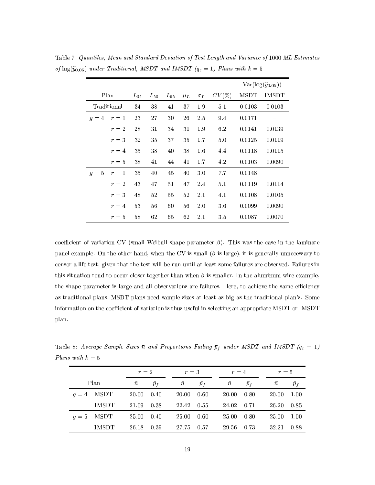|       |             |          |              |          |         |            |       |             | $Var(log(\hat{y}_{0.05}))$ |
|-------|-------------|----------|--------------|----------|---------|------------|-------|-------------|----------------------------|
|       | Plan        | $L_{05}$ | $L_{\rm 50}$ | $L_{95}$ | $\mu_L$ | $\sigma_L$ | CV(%) | <b>MSDT</b> | IMSDT                      |
|       | Traditional | 34       | 38           | 41       | 37      | 1.9        | 5.1   | 0.0103      | 0.0103                     |
| $q=4$ | $r=1$       | 23       | 27           | 30       | 26      | 2.5        | 9.4   | 0.0171      |                            |
|       | $r=2$       | 28       | 31           | 34       | 31      | 1.9        | 6.2   | 0.0141      | 0.0139                     |
|       | $r=3$       | 32       | 35           | 37       | 35      | 1.7        | 5.0   | 0.0125      | 0.0119                     |
|       | $r=4$       | 35       | 38           | 40       | 38      | 1.6        | 4.4   | 0.0118      | 0.0115                     |
|       | $r=5$       | 38       | 41           | 44       | 41      | 1.7        | 4.2   | 0.0103      | 0.0090                     |
| $g=5$ | $r=1$       | 35       | 40           | 45       | 40      | 3.0        | 7.7   | 0.0148      |                            |
|       | $r=2$       | 43       | 47           | 51       | 47      | 2.4        | 5.1   | 0.0119      | 0.0114                     |
|       | $r=3$       | 48       | 52           | 55       | 52      | 2.1        | 4.1   | 0.0108      | 0.0105                     |
|       | $r=4$       | 53       | 56           | 60       | 56      | 2.0        | 3.6   | 0.0099      | 0.0090                     |
|       | $r=5$       | 58       | 62           | 65       | 62      | $2.1\,$    | 3.5   | 0.0087      | 0.0070                     |

Table 7: Quantiles, Mean and Standard Deviation of Test Length and Variance of 1000 ML Estimates of  $log(\hat{y}_{0.05})$  under Traditional, MSDT and IMSDT  $(q_c = 1)$  Plans with  $k = 5$ 

coefficient of variation CV (small Weibull shape parameter  $\beta$ ). This was the case in the laminate panel example. On the other hand, when the CV is small  $(\beta$  is large), it is generally unnecessary to censor a life test, given that the test will be run until at least some failures are observed. Failures in this situation tend to occur closer together than when  $\beta$  is smaller. In the aluminum wire example, the shape parameter is large and all observations are failures. Here, to achieve the same efficiency as traditional plans, MSDT plans need sample sizes at least as big as the traditional plan's. Some information on the coefficient of variation is thus useful in selecting an appropriate MSDT or IMSDT plan.

Table 8: Average Sample Sizes n and Proportions Failing pf under MSDT and IMSDT (qc <sup>=</sup> 1) Plans with  $k = 5$ 

|       |              |           | $r=2$ |           | $r=3$ |           | $r=4$ |        | $r=5$ |  |  |
|-------|--------------|-----------|-------|-----------|-------|-----------|-------|--------|-------|--|--|
|       | Plan         | $\bar{n}$ | $p_f$ | $\bar{n}$ | $p_f$ | $\bar{n}$ | $p_f$ | $\, n$ | $p_f$ |  |  |
| $q=4$ | MSDT         | 20.00     | 0.40  | 20.00     | 0.60  | 20.00     | 0.80  | 20.00  | -1.00 |  |  |
|       | <b>IMSDT</b> | 21.09     | 0.38  | 22.42     | -0.55 | 24.02     | 0.71  | 26.20  | -0.85 |  |  |
| $q=5$ | MSDT         | 25.00     | 0.40  | 25.00     | 0.60  | 25.00     | -0.80 | 25.00  | -1.00 |  |  |
|       | <b>IMSDT</b> | 26.18     | 0.39  | 27.75     | 0.57  | 29.56     | 0.73  | 32.21  | 0.88  |  |  |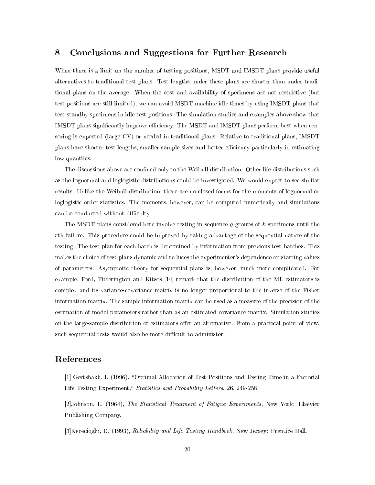## 8 Conclusions and Suggestions for Further Research

When there is a limit on the number of testing positions, MSDT and IMSDT plans provide useful alternatives to traditional test plans. Test lengths under these plans are shorter than under traditional plans on the average. When the cost and availability of specimens are not restrictive (but test positions are still limited), we can avoid MSDT machine idle times by using IMSDT plans that test standby specimens in idle test positions. The simulation studies and examples above show that IMSDT plans significantly improve efficiency. The MSDT and IMSDT plans perform best when censoring is expected (large CV) or needed in traditional plans. Relative to traditional plans, IMSDT plans have shorter test lengths, smaller sample sizes and better efficiency particularly in estimating low quantiles.

The discussions above are confined only to the Weibull distribution. Other life distributions such as the lognormal and loglogistic distributions could be investigated. We would expect to see similar results. Unlike the Weibull distribution, there are no closed forms for the moments of lognormal or loglogistic order statistics. The moments, however, can be computed numerically and simulations can be conducted without difficulty.

The MSDT plans considered here involve testing in sequence g groups of k specimens until the rth failure. This procedure could be improved by taking advantage of the sequential nature of the testing. The test plan for each batch is determined by information from previous test batches. This makes the choice of test plans dynamic and reduces the experimenter's dependence on starting values of parameters. Asymptotic theory for sequential plans is, however, much more complicated. For example, Ford, Titterington and Kitsos [14] remark that the distribution of the ML estimators is complex and its variance-covariance matrix is no longer proportional to the inverse of the Fisher information matrix. The sample information matrix can be used as a measure of the precision of the estimation of model parameters rather than as an estimated covariance matrix. Simulation studies on the large-sample distribution of estimators offer an alternative. From a practical point of view, such sequential tests would also be more difficult to administer.

## References

[1] Gertsbakh, I. (1996). "Optimal Allocation of Test Positions and Testing Time in a Factorial Life Testing Experiment." Statistics and Probability Letters, 26, 249-258.

[2]Johnson, L. (1964), The Statistical Treatment of Fatigue Experiments, New York: Elsevier Publishing Company.

[3]Kececioglu, D. (1993), Reliability and Life Testing Handbook, New Jersey: Prentice Hall.